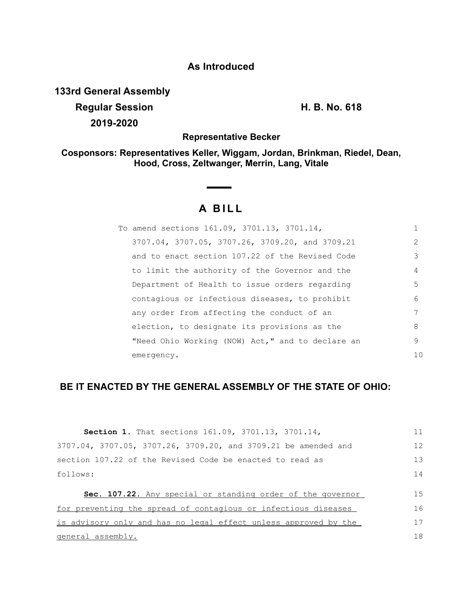# **As Introduced**

**133rd General Assembly**

**Regular Session H. B. No. 618 2019-2020**

**Representative Becker**

**Cosponsors: Representatives Keller, Wiggam, Jordan, Brinkman, Riedel, Dean, Hood, Cross, Zeltwanger, Merrin, Lang, Vitale**

# **A BILL**

| To amend sections 161.09, 3701.13, 3701.14,      |                |
|--------------------------------------------------|----------------|
| 3707.04, 3707.05, 3707.26, 3709.20, and 3709.21  | $\mathcal{D}$  |
| and to enact section 107.22 of the Revised Code  | 3              |
| to limit the authority of the Governor and the   | 4              |
| Department of Health to issue orders regarding   | 5              |
| contagious or infectious diseases, to prohibit   | 6              |
| any order from affecting the conduct of an       |                |
| election, to designate its provisions as the     | 8              |
| "Need Ohio Working (NOW) Act," and to declare an | 9              |
| emergency.                                       | 1 <sub>0</sub> |

# **BE IT ENACTED BY THE GENERAL ASSEMBLY OF THE STATE OF OHIO:**

| Section 1. That sections 161.09, 3701.13, 3701.14,                | 11 |
|-------------------------------------------------------------------|----|
| 3707.04, 3707.05, 3707.26, 3709.20, and 3709.21 be amended and    | 12 |
| section 107.22 of the Revised Code be enacted to read as          | 13 |
| follows:                                                          | 14 |
| <b>Sec. 107.22.</b> Any special or standing order of the governor | 15 |
| for preventing the spread of contagious or infectious diseases    | 16 |
| is advisory only and has no legal effect unless approved by the   | 17 |
| general assembly.                                                 |    |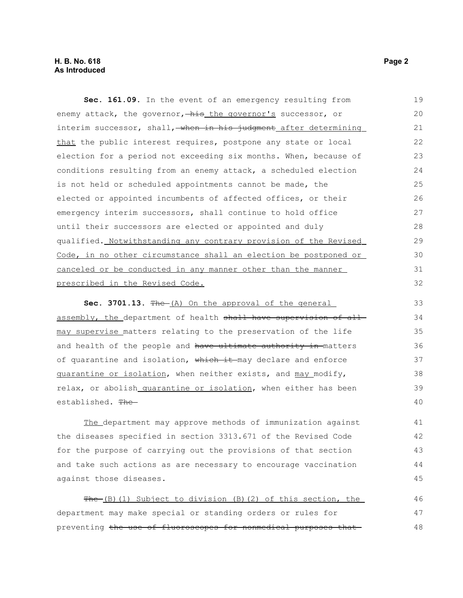## **H. B. No. 618 Page 2 As Introduced**

**Sec. 161.09.** In the event of an emergency resulting from enemy attack, the governor, his the governor's successor, or interim successor, shall, when in his judgment after determining that the public interest requires, postpone any state or local election for a period not exceeding six months. When, because of conditions resulting from an enemy attack, a scheduled election is not held or scheduled appointments cannot be made, the elected or appointed incumbents of affected offices, or their emergency interim successors, shall continue to hold office until their successors are elected or appointed and duly qualified. Notwithstanding any contrary provision of the Revised Code, in no other circumstance shall an election be postponed or canceled or be conducted in any manner other than the manner prescribed in the Revised Code. 19 20 21 22 23 24 25 26 27 28 29 30 31 32

Sec. 3701.13. The (A) On the approval of the general assembly, the department of health shall have supervision of allmay supervise matters relating to the preservation of the life and health of the people and have ultimate authority in matters of quarantine and isolation, which it may declare and enforce quarantine or isolation, when neither exists, and may modify, relax, or abolish quarantine or isolation, when either has been established. The 33 34 35 36 37 38 39 40

The department may approve methods of immunization against the diseases specified in section 3313.671 of the Revised Code for the purpose of carrying out the provisions of that section and take such actions as are necessary to encourage vaccination against those diseases. 41 42 43 44 45

The (B)(1) Subject to division (B)(2) of this section, the department may make special or standing orders or rules for preventing the use of fluoroscopes for nonmedical purposes that 46 47 48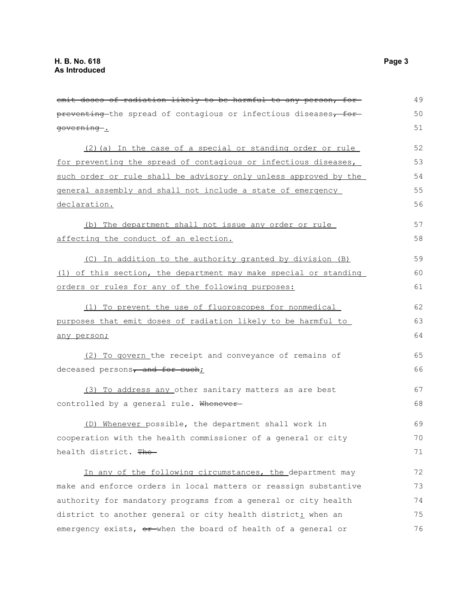| emit doses of radiation likely to be harmful to any person, for  | 49 |
|------------------------------------------------------------------|----|
| preventing the spread of contagious or infectious diseases, for- | 50 |
| governing.                                                       | 51 |
| (2) (a) In the case of a special or standing order or rule       | 52 |
| for preventing the spread of contagious or infectious diseases,  | 53 |
| such order or rule shall be advisory only unless approved by the | 54 |
| general assembly and shall not include a state of emergency      | 55 |
| declaration.                                                     | 56 |
| (b) The department shall not issue any order or rule             | 57 |
| affecting the conduct of an election.                            | 58 |
| (C) In addition to the authority granted by division (B)         | 59 |
| (1) of this section, the department may make special or standing | 60 |
| orders or rules for any of the following purposes:               | 61 |
| (1) To prevent the use of fluoroscopes for nonmedical            | 62 |
| purposes that emit doses of radiation likely to be harmful to    |    |
| any person;                                                      | 64 |
| (2) To govern the receipt and conveyance of remains of           | 65 |
| deceased persons <sub>7</sub> and for such;                      | 66 |
| (3) To address any other sanitary matters as are best            | 67 |
| controlled by a general rule. Whenever-                          |    |
|                                                                  | 68 |
| (D) Whenever possible, the department shall work in              | 69 |
| cooperation with the health commissioner of a general or city    | 70 |
| health district. The                                             | 71 |
| In any of the following circumstances, the department may        | 72 |
| make and enforce orders in local matters or reassign substantive | 73 |
| authority for mandatory programs from a general or city health   | 74 |
| district to another general or city health district: when an     | 75 |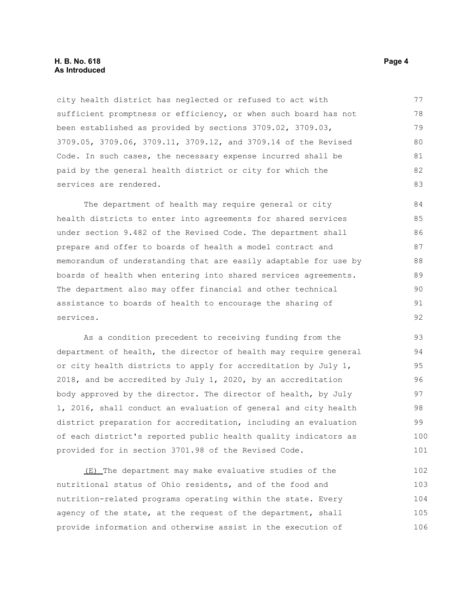#### **H. B. No. 618 Page 4 As Introduced**

city health district has neglected or refused to act with sufficient promptness or efficiency, or when such board has not been established as provided by sections 3709.02, 3709.03, 3709.05, 3709.06, 3709.11, 3709.12, and 3709.14 of the Revised Code. In such cases, the necessary expense incurred shall be paid by the general health district or city for which the services are rendered.

The department of health may require general or city health districts to enter into agreements for shared services under section 9.482 of the Revised Code. The department shall prepare and offer to boards of health a model contract and memorandum of understanding that are easily adaptable for use by boards of health when entering into shared services agreements. The department also may offer financial and other technical assistance to boards of health to encourage the sharing of services. 84 85 86 87 88 89 90 91 92

As a condition precedent to receiving funding from the department of health, the director of health may require general or city health districts to apply for accreditation by July 1, 2018, and be accredited by July 1, 2020, by an accreditation body approved by the director. The director of health, by July 1, 2016, shall conduct an evaluation of general and city health district preparation for accreditation, including an evaluation of each district's reported public health quality indicators as provided for in section 3701.98 of the Revised Code.

(E) The department may make evaluative studies of the nutritional status of Ohio residents, and of the food and nutrition-related programs operating within the state. Every agency of the state, at the request of the department, shall provide information and otherwise assist in the execution of 102 103 104 105 106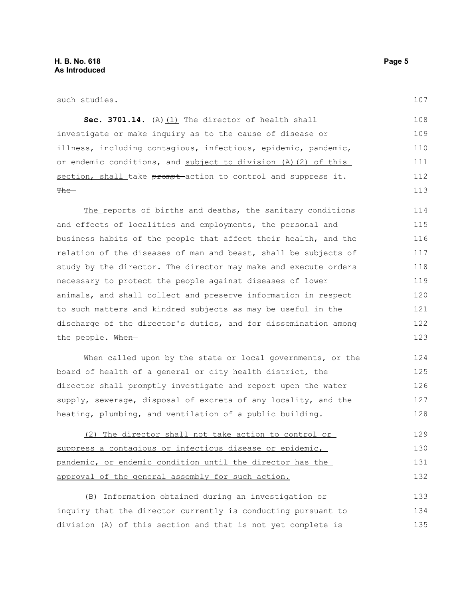such studies.

107

Sec. 3701.14. (A) (1) The director of health shall investigate or make inquiry as to the cause of disease or illness, including contagious, infectious, epidemic, pandemic, or endemic conditions, and subject to division (A)(2) of this section, shall take prompt action to control and suppress it. The 108 109 110 111 112 113

The reports of births and deaths, the sanitary conditions and effects of localities and employments, the personal and business habits of the people that affect their health, and the relation of the diseases of man and beast, shall be subjects of study by the director. The director may make and execute orders necessary to protect the people against diseases of lower animals, and shall collect and preserve information in respect to such matters and kindred subjects as may be useful in the discharge of the director's duties, and for dissemination among the people. When-114 115 116 117 118 119 120 121 122 123

When called upon by the state or local governments, or the board of health of a general or city health district, the director shall promptly investigate and report upon the water supply, sewerage, disposal of excreta of any locality, and the heating, plumbing, and ventilation of a public building. 124 125 126 127 128

(2) The director shall not take action to control or suppress a contagious or infectious disease or epidemic, pandemic, or endemic condition until the director has the approval of the general assembly for such action. 129 130 131 132

(B) Information obtained during an investigation or inquiry that the director currently is conducting pursuant to division (A) of this section and that is not yet complete is 133 134 135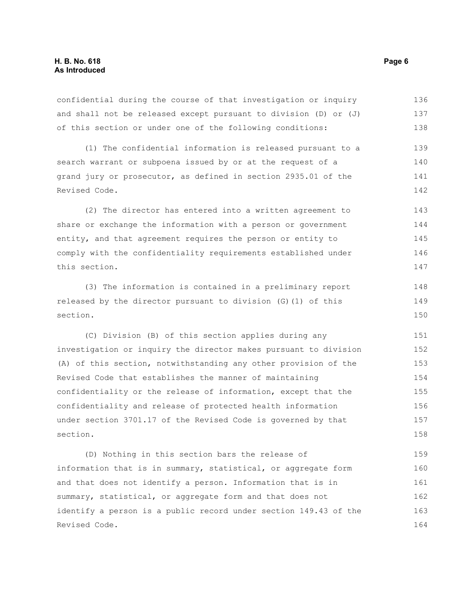confidential during the course of that investigation or inquiry and shall not be released except pursuant to division (D) or (J) of this section or under one of the following conditions: 136 137 138

(1) The confidential information is released pursuant to a search warrant or subpoena issued by or at the request of a grand jury or prosecutor, as defined in section 2935.01 of the Revised Code. 139 140 141 142

(2) The director has entered into a written agreement to share or exchange the information with a person or government entity, and that agreement requires the person or entity to comply with the confidentiality requirements established under this section. 143 144 145 146 147

(3) The information is contained in a preliminary report released by the director pursuant to division (G)(1) of this section. 148 149 150

(C) Division (B) of this section applies during any investigation or inquiry the director makes pursuant to division (A) of this section, notwithstanding any other provision of the Revised Code that establishes the manner of maintaining confidentiality or the release of information, except that the confidentiality and release of protected health information under section 3701.17 of the Revised Code is governed by that section. 151 152 153 154 155 156 157 158

(D) Nothing in this section bars the release of information that is in summary, statistical, or aggregate form and that does not identify a person. Information that is in summary, statistical, or aggregate form and that does not identify a person is a public record under section 149.43 of the Revised Code. 159 160 161 162 163 164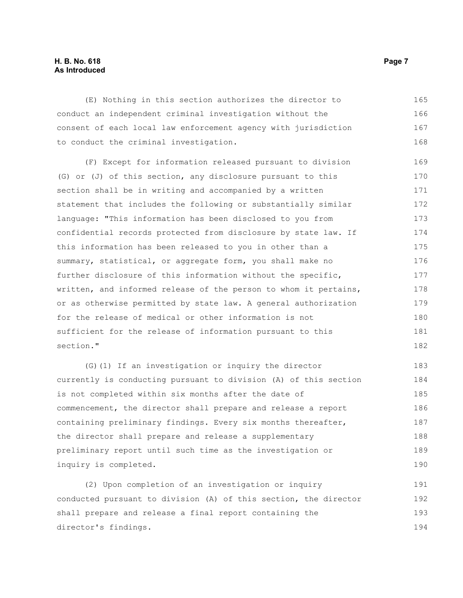## **H. B. No. 618 Page 7 As Introduced**

(E) Nothing in this section authorizes the director to conduct an independent criminal investigation without the consent of each local law enforcement agency with jurisdiction to conduct the criminal investigation. 165 166 167 168

(F) Except for information released pursuant to division (G) or (J) of this section, any disclosure pursuant to this section shall be in writing and accompanied by a written statement that includes the following or substantially similar language: "This information has been disclosed to you from confidential records protected from disclosure by state law. If this information has been released to you in other than a summary, statistical, or aggregate form, you shall make no further disclosure of this information without the specific, written, and informed release of the person to whom it pertains, or as otherwise permitted by state law. A general authorization for the release of medical or other information is not sufficient for the release of information pursuant to this section." 169 170 171 172 173 174 175 176 177 178 179 180 181 182

(G)(1) If an investigation or inquiry the director currently is conducting pursuant to division (A) of this section is not completed within six months after the date of commencement, the director shall prepare and release a report containing preliminary findings. Every six months thereafter, the director shall prepare and release a supplementary preliminary report until such time as the investigation or inquiry is completed. 183 184 185 186 187 188 189 190

(2) Upon completion of an investigation or inquiry conducted pursuant to division (A) of this section, the director shall prepare and release a final report containing the director's findings. 191 192 193 194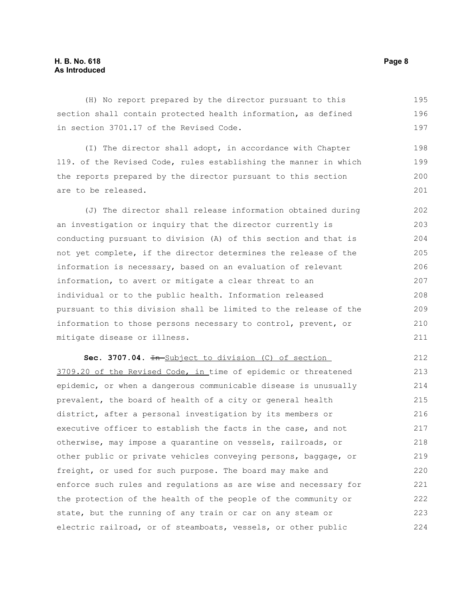## **H. B. No. 618 Page 8 As Introduced**

(H) No report prepared by the director pursuant to this section shall contain protected health information, as defined in section 3701.17 of the Revised Code. 195 196 197

(I) The director shall adopt, in accordance with Chapter 119. of the Revised Code, rules establishing the manner in which the reports prepared by the director pursuant to this section are to be released. 198 199 200 201

(J) The director shall release information obtained during an investigation or inquiry that the director currently is conducting pursuant to division (A) of this section and that is not yet complete, if the director determines the release of the information is necessary, based on an evaluation of relevant information, to avert or mitigate a clear threat to an individual or to the public health. Information released pursuant to this division shall be limited to the release of the information to those persons necessary to control, prevent, or mitigate disease or illness.

Sec. 3707.04.  $\overline{In-Subject}$  to division (C) of section 3709.20 of the Revised Code, in time of epidemic or threatened epidemic, or when a dangerous communicable disease is unusually prevalent, the board of health of a city or general health district, after a personal investigation by its members or executive officer to establish the facts in the case, and not otherwise, may impose a quarantine on vessels, railroads, or other public or private vehicles conveying persons, baggage, or freight, or used for such purpose. The board may make and enforce such rules and regulations as are wise and necessary for the protection of the health of the people of the community or state, but the running of any train or car on any steam or electric railroad, or of steamboats, vessels, or other public 212 213 214 215 216 217 218 219 220 221 222 223 224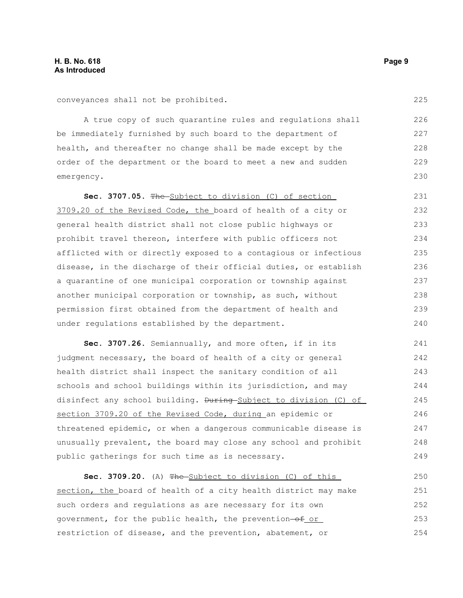conveyances shall not be prohibited.

A true copy of such quarantine rules and regulations shall be immediately furnished by such board to the department of health, and thereafter no change shall be made except by the order of the department or the board to meet a new and sudden emergency. 226 227 228 229 230

**Sec. 3707.05.** The Subject to division (C) of section 3709.20 of the Revised Code, the board of health of a city or general health district shall not close public highways or prohibit travel thereon, interfere with public officers not afflicted with or directly exposed to a contagious or infectious disease, in the discharge of their official duties, or establish a quarantine of one municipal corporation or township against another municipal corporation or township, as such, without permission first obtained from the department of health and under regulations established by the department. 231 232 233 234 235 236 237 238 239 240

**Sec. 3707.26.** Semiannually, and more often, if in its judgment necessary, the board of health of a city or general health district shall inspect the sanitary condition of all schools and school buildings within its jurisdiction, and may disinfect any school building. <del>During Subject to division</del> (C) of section 3709.20 of the Revised Code, during an epidemic or threatened epidemic, or when a dangerous communicable disease is unusually prevalent, the board may close any school and prohibit public gatherings for such time as is necessary. 241 242 243 244 245 246 247 248 249

**Sec. 3709.20.** (A) The Subject to division (C) of this section, the board of health of a city health district may make such orders and regulations as are necessary for its own government, for the public health, the prevention-of or restriction of disease, and the prevention, abatement, or 250 251 252 253 254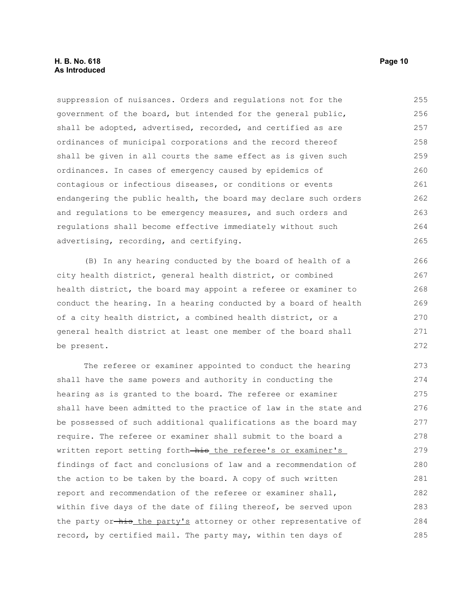suppression of nuisances. Orders and regulations not for the government of the board, but intended for the general public, shall be adopted, advertised, recorded, and certified as are ordinances of municipal corporations and the record thereof shall be given in all courts the same effect as is given such ordinances. In cases of emergency caused by epidemics of contagious or infectious diseases, or conditions or events endangering the public health, the board may declare such orders and regulations to be emergency measures, and such orders and regulations shall become effective immediately without such advertising, recording, and certifying. 255 256 257 258 259 260 261 262 263 264 265

(B) In any hearing conducted by the board of health of a city health district, general health district, or combined health district, the board may appoint a referee or examiner to conduct the hearing. In a hearing conducted by a board of health of a city health district, a combined health district, or a general health district at least one member of the board shall be present.

The referee or examiner appointed to conduct the hearing shall have the same powers and authority in conducting the hearing as is granted to the board. The referee or examiner shall have been admitted to the practice of law in the state and be possessed of such additional qualifications as the board may require. The referee or examiner shall submit to the board a written report setting forth-his the referee's or examiner's findings of fact and conclusions of law and a recommendation of the action to be taken by the board. A copy of such written report and recommendation of the referee or examiner shall, within five days of the date of filing thereof, be served upon the party or-his the party's attorney or other representative of record, by certified mail. The party may, within ten days of 273 274 275 276 277 278 279 280 281 282 283 284 285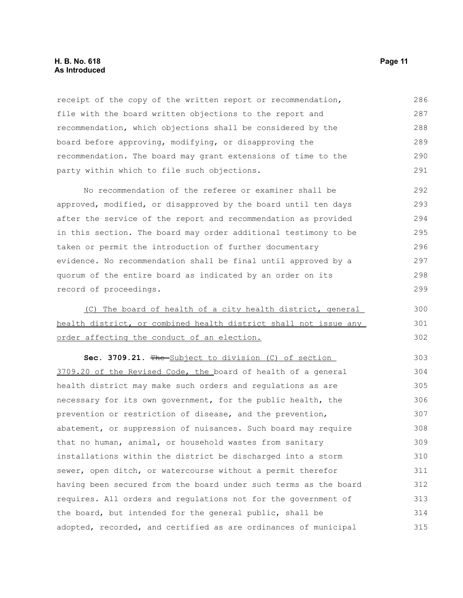#### **H. B. No. 618 Page 11 As Introduced**

receipt of the copy of the written report or recommendation, file with the board written objections to the report and recommendation, which objections shall be considered by the board before approving, modifying, or disapproving the recommendation. The board may grant extensions of time to the party within which to file such objections. 286 287 288 289 290 291

No recommendation of the referee or examiner shall be approved, modified, or disapproved by the board until ten days after the service of the report and recommendation as provided in this section. The board may order additional testimony to be taken or permit the introduction of further documentary evidence. No recommendation shall be final until approved by a quorum of the entire board as indicated by an order on its record of proceedings. 292 293 294 295 296 297 298 299

(C) The board of health of a city health district, general health district, or combined health district shall not issue any order affecting the conduct of an election.

Sec. 3709.21. The Subject to division (C) of section 3709.20 of the Revised Code, the board of health of a general health district may make such orders and regulations as are necessary for its own government, for the public health, the prevention or restriction of disease, and the prevention, abatement, or suppression of nuisances. Such board may require that no human, animal, or household wastes from sanitary installations within the district be discharged into a storm sewer, open ditch, or watercourse without a permit therefor having been secured from the board under such terms as the board requires. All orders and regulations not for the government of the board, but intended for the general public, shall be adopted, recorded, and certified as are ordinances of municipal 303 304 305 306 307 308 309 310 311 312 313 314 315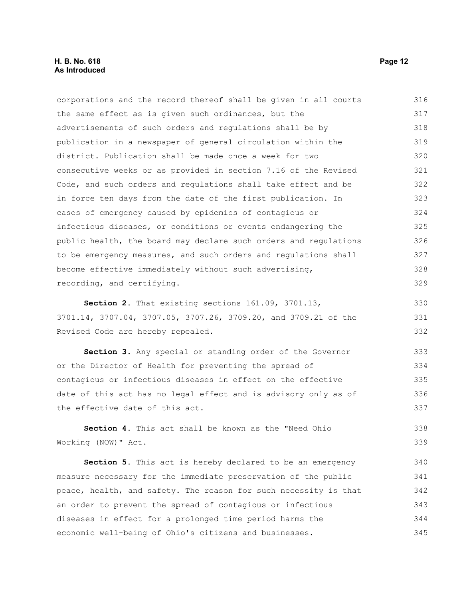#### **H. B. No. 618 Page 12 As Introduced**

| corporations and the record thereof shall be given in all courts | 316 |
|------------------------------------------------------------------|-----|
| the same effect as is given such ordinances, but the             | 317 |
| advertisements of such orders and requlations shall be by        | 318 |
| publication in a newspaper of general circulation within the     | 319 |
| district. Publication shall be made once a week for two          | 320 |
| consecutive weeks or as provided in section 7.16 of the Revised  | 321 |
| Code, and such orders and requiations shall take effect and be   | 322 |
| in force ten days from the date of the first publication. In     | 323 |
| cases of emergency caused by epidemics of contagious or          | 324 |
| infectious diseases, or conditions or events endangering the     | 325 |
| public health, the board may declare such orders and regulations | 326 |
| to be emergency measures, and such orders and regulations shall  | 327 |
| become effective immediately without such advertising,           | 328 |
| recording, and certifying.                                       | 329 |
|                                                                  |     |

**Section 2.** That existing sections 161.09, 3701.13, 3701.14, 3707.04, 3707.05, 3707.26, 3709.20, and 3709.21 of the Revised Code are hereby repealed. 330 331 332

**Section 3.** Any special or standing order of the Governor or the Director of Health for preventing the spread of contagious or infectious diseases in effect on the effective date of this act has no legal effect and is advisory only as of the effective date of this act. 333 334 335 336 337

**Section 4.** This act shall be known as the "Need Ohio Working (NOW)" Act. 338 339

**Section 5.** This act is hereby declared to be an emergency measure necessary for the immediate preservation of the public peace, health, and safety. The reason for such necessity is that an order to prevent the spread of contagious or infectious diseases in effect for a prolonged time period harms the economic well-being of Ohio's citizens and businesses. 340 341 342 343 344 345